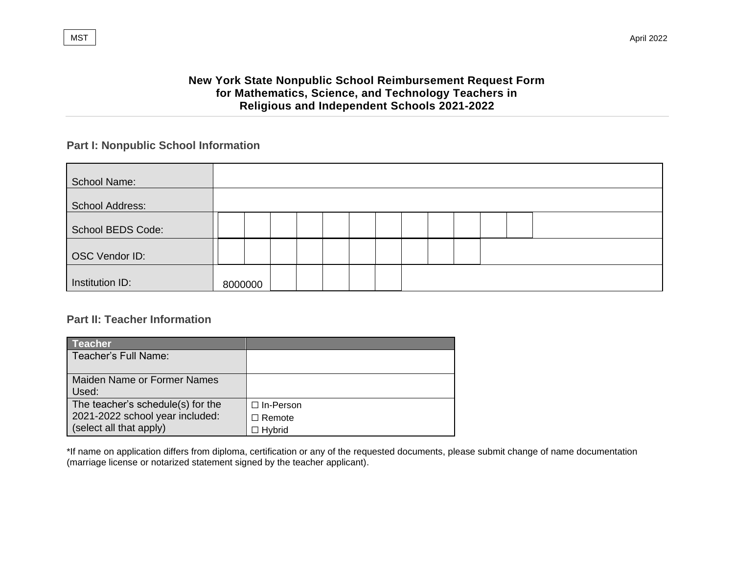$\blacksquare$ MST  $\parallel$   $\blacksquare$ 

# **New York State Nonpublic School Reimbursement Request Form for Mathematics, Science, and Technology Teachers in Religious and Independent Schools 2021-2022**

# **Part I: Nonpublic School Information**

| <b>School Name:</b> |         |  |  |  |  |  |  |
|---------------------|---------|--|--|--|--|--|--|
| School Address:     |         |  |  |  |  |  |  |
| School BEDS Code:   |         |  |  |  |  |  |  |
| OSC Vendor ID:      |         |  |  |  |  |  |  |
| Institution ID:     | 8000000 |  |  |  |  |  |  |

## **Part II: Teacher Information**

| <b>Teacher</b> ˈ                  |                  |
|-----------------------------------|------------------|
| Teacher's Full Name:              |                  |
|                                   |                  |
| Maiden Name or Former Names       |                  |
| Used:                             |                  |
| The teacher's schedule(s) for the | $\Box$ In-Person |
| 2021-2022 school year included:   | $\Box$ Remote    |
| (select all that apply)           | □ Hvbrid         |

\*If name on application differs from diploma, certification or any of the requested documents, please submit change of name documentation (marriage license or notarized statement signed by the teacher applicant).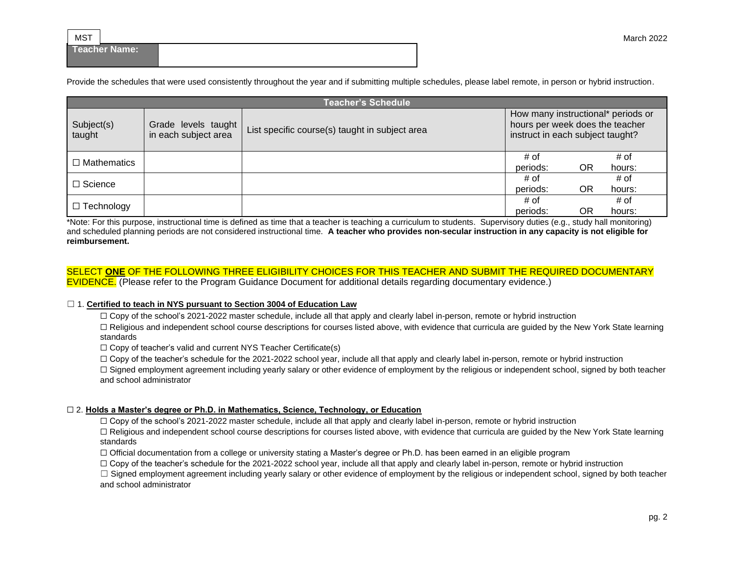**Teacher Name:**

Provide the schedules that were used consistently throughout the year and if submitting multiple schedules, please label remote, in person or hybrid instruction.

|                      |                                             | <b>Teacher's Schedule</b>                      |                                                                                                           |    |        |
|----------------------|---------------------------------------------|------------------------------------------------|-----------------------------------------------------------------------------------------------------------|----|--------|
| Subject(s)<br>taught | Grade levels taught<br>in each subject area | List specific course(s) taught in subject area | How many instructional* periods or<br>hours per week does the teacher<br>instruct in each subject taught? |    |        |
| $\Box$ Mathematics   |                                             |                                                | # of                                                                                                      |    | # of   |
|                      |                                             |                                                | periods:                                                                                                  | OR | hours: |
|                      |                                             |                                                | # of                                                                                                      |    | # of   |
| $\Box$ Science       |                                             |                                                | periods:                                                                                                  | OR | hours: |
|                      |                                             |                                                | # of                                                                                                      |    | # of   |
| $\Box$ Technology    |                                             |                                                | periods:                                                                                                  | OR | hours: |

\*Note: For this purpose, instructional time is defined as time that a teacher is teaching a curriculum to students. Supervisory duties (e.g., study hall monitoring) and scheduled planning periods are not considered instructional time. **A teacher who provides non-secular instruction in any capacity is not eligible for reimbursement.**

### SELECT **ONE** OF THE FOLLOWING THREE ELIGIBILITY CHOICES FOR THIS TEACHER AND SUBMIT THE REQUIRED DOCUMENTARY EVIDENCE. (Please refer to the Program Guidance Document for additional details regarding documentary evidence.)

#### ☐ 1. **Certified to teach in NYS pursuant to Section 3004 of Education Law**

□ Copy of the school's 2021-2022 master schedule, include all that apply and clearly label in-person, remote or hybrid instruction

□ Religious and independent school course descriptions for courses listed above, with evidence that curricula are quided by the New York State learning standards

 $\Box$  Copy of teacher's valid and current NYS Teacher Certificate(s)

□ Copy of the teacher's schedule for the 2021-2022 school year, include all that apply and clearly label in-person, remote or hybrid instruction

 $\Box$  Signed employment agreement including yearly salary or other evidence of employment by the religious or independent school, signed by both teacher and school administrator

## ☐ 2. **Holds a Master's degree or Ph.D. in Mathematics, Science, Technology, or Education**

☐ Copy of the school's 2021-2022 master schedule, include all that apply and clearly label in-person, remote or hybrid instruction

□ Religious and independent school course descriptions for courses listed above, with evidence that curricula are quided by the New York State learning standards

☐ Official documentation from a college or university stating a Master's degree or Ph.D. has been earned in an eligible program

 $\Box$  Copy of the teacher's schedule for the 2021-2022 school year, include all that apply and clearly label in-person, remote or hybrid instruction

 $\Box$  Signed employment agreement including yearly salary or other evidence of employment by the religious or independent school, signed by both teacher and school administrator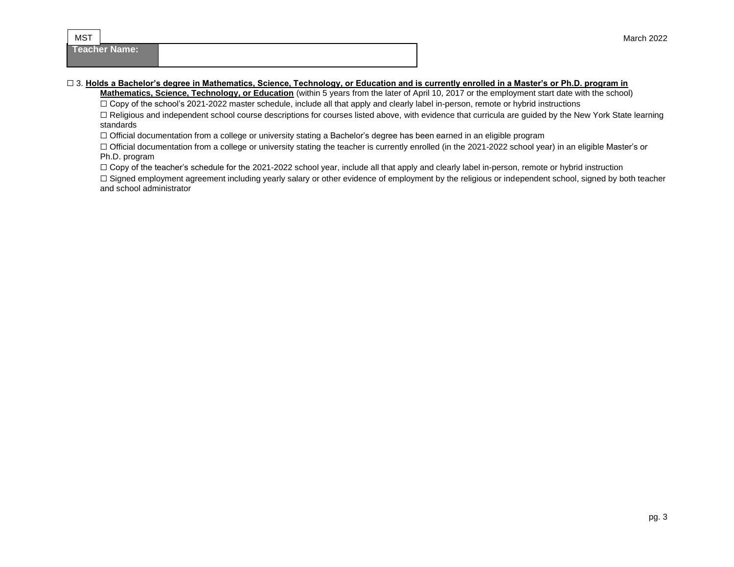**Teacher Name:**

**MST** 

## ☐ 3. **Holds a Bachelor's degree in Mathematics, Science, Technology, or Education and is currently enrolled in a Master's or Ph.D. program in**

**Mathematics, Science, Technology, or Education** (within 5 years from the later of April 10, 2017 or the employment start date with the school)

□ Copy of the school's 2021-2022 master schedule, include all that apply and clearly label in-person, remote or hybrid instructions

□ Religious and independent school course descriptions for courses listed above, with evidence that curricula are guided by the New York State learning standards

☐ Official documentation from a college or university stating a Bachelor's degree has been earned in an eligible program

□ Official documentation from a college or university stating the teacher is currently enrolled (in the 2021-2022 school year) in an eligible Master's or Ph.D. program

□ Copy of the teacher's schedule for the 2021-2022 school year, include all that apply and clearly label in-person, remote or hybrid instruction

□ Signed employment agreement including yearly salary or other evidence of employment by the religious or independent school, signed by both teacher and school administrator